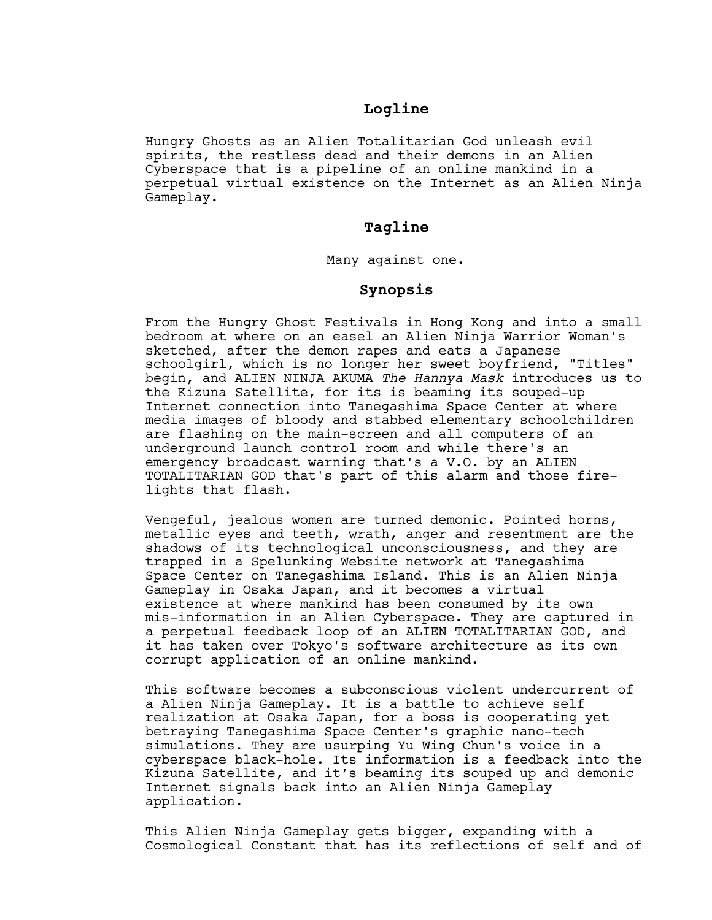## **Logline**

Hungry Ghosts as an Alien Totalitarian God unleash evil spirits, the restless dead and their demons in an Alien Cyberspace that is a pipeline of an online mankind in a perpetual virtual existence on the Internet as an Alien Ninja Gameplay.

## **Tagline**

Many against one.

## **Synopsis**

From the Hungry Ghost Festivals in Hong Kong and into a small bedroom at where on an easel an Alien Ninja Warrior Woman's sketched, after the demon rapes and eats a Japanese schoolgirl, which is no longer her sweet boyfriend, "Titles" begin, and ALIEN NINJA AKUMA *The Hannya Mask* introduces us to the Kizuna Satellite, for its is beaming its souped-up Internet connection into Tanegashima Space Center at where media images of bloody and stabbed elementary schoolchildren are flashing on the main-screen and all computers of an underground launch control room and while there's an emergency broadcast warning that's a V.O. by an ALIEN TOTALITARIAN GOD that's part of this alarm and those firelights that flash.

Vengeful, jealous women are turned demonic. Pointed horns, metallic eyes and teeth, wrath, anger and resentment are the shadows of its technological unconsciousness, and they are trapped in a Spelunking Website network at Tanegashima Space Center on Tanegashima Island. This is an Alien Ninja Gameplay in Osaka Japan, and it becomes a virtual existence at where mankind has been consumed by its own mis-information in an Alien Cyberspace. They are captured in a perpetual feedback loop of an ALIEN TOTALITARIAN GOD, and it has taken over Tokyo's software architecture as its own corrupt application of an online mankind.

This software becomes a subconscious violent undercurrent of a Alien Ninja Gameplay. It is a battle to achieve self realization at Osaka Japan, for a boss is cooperating yet betraying Tanegashima Space Center's graphic nano-tech simulations. They are usurping Yu Wing Chun's voice in a cyberspace black-hole. Its information is a feedback into the Kizuna Satellite, and it's beaming its souped up and demonic Internet signals back into an Alien Ninja Gameplay application.

This Alien Ninja Gameplay gets bigger, expanding with a Cosmological Constant that has its reflections of self and of